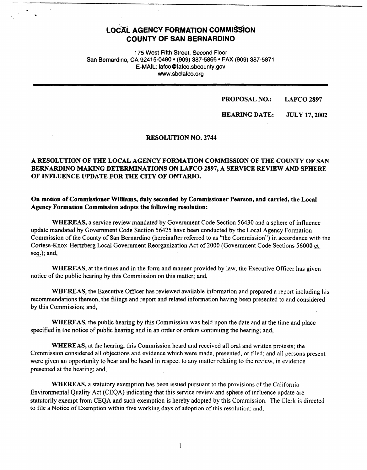# **LOCAL AGENCY FORMATION COMMISSION COUNTY OF SAN BERNARDINO**

..

175 West Fifth Street, Second Floor San Bernardino, CA 92415-0490 • (909) 387-5866 • FAX (909) 387-5871 E-MAIL: 1afco@lafco.sbcounty.gov www.sbclafco.org

> **PROPOSAL NO.: LAFCO2897**

**HEARING DATE: JULY 17, 2002** 

#### RESOLUTION NO. 2744

# A RESOLUTION OF THE LOCAL AGENCY FORMATION COMMISSION OF THE COUNTY OF SAN BERNARDINO MAKING DETERMINATIONS ON LAFCO 2897, A SERVICE REVIEW AND SPHERE OF INFLUENCE UPDATE FOR THE CITY OF ONTARIO.

## On motion of Commissioner Williams, duly seconded by Commissioner Pearson, and carried, the Local **Agency Formation Commission adopts the following resolution:**

**WHEREAS,** a service review mandated by Government Code Section 56430 and a sphere of influence update mandated by Government Code Section 56425 have been conducted by the Local Agency Formation Commission of the County of San Bernardino (hereinafter referred to as "the Commission") in accordance with the Cortese-Knox-Hertzberg Local Government Reorganization Act of 2000 (Government Code Sections 56000 et seq.); and,

**WHEREAS,** at the times and in the form and manner provided by law, the Executive Officer has given notice of the public hearing by this Commission on this matter; and,

**WHEREAS,** the Executive Officer has reviewed available information and prepared a report including his recommendations thereon, the filings and report and related information having been presented to and considered by this Commission; and,

**WHEREAS,** the public hearing by this Commission was held upon the date and at the time and place specified in the notice of public hearing and in an order or orders continuing the hearing; and,

**WHEREAS,** at the hearing, this Commission heard and received all oral and written protests; the Commission considered all objections and evidence which were made, presented, or filed; and all persons present were given an opportunity to hear and be heard in respect to any matter relating to the review, in evidence presented at the hearing; and,

**WHEREAS,** a statutory exemption has been issued pursuant to the provisions of the California Environmental Quality Act (CEQA) indicating that this service review and sphere of influence update are statutorily exempt from CEQA and such exemption is hereby adopted by this Commission. The Clerk is directed to file a Notice of Exemption within five working days of adoption of this resolution; and,

 $\mathbf{I}$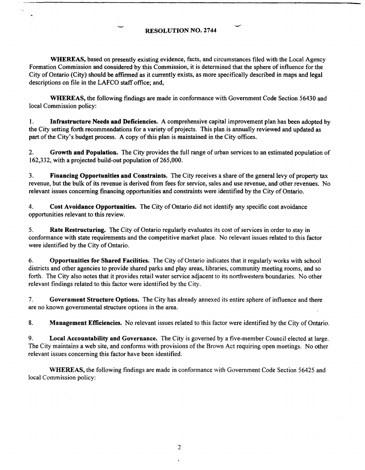# - **RESOLUTION NO.** <sup>2744</sup>

**WHEREAS,** based on presently existing evidence. facts, and circumstances filed with the Local Agency Formation Commission and considered by this Commission, it is determined that the sphere of influence for the City of Ontario (City) should be affirmed as it currently exists. as more specifically described in maps and legal descriptions on file in the LAFCO staff office; and,

**WHEREAS,** the following findings are made in conformance with Government Code Section 56430 and local Commission policy:

1. **Infrastructure Needs and Deficiencies.** A comprehensive capital improvement plan has been adopted by the City setting forth recommendations for a variety of projects. This plan is annually reviewed and updated as part of the City's budget process. A copy of this plan is maintained in the City offices.

2. **Growth and Population.** The City provides the full range of urban services to an estimated population of 162,332, with a projected build-out population of 265,000.

3. **Financing Opportunities and Constraints.** The City receives a share of the general levy of property tax revenue, but the bulk of its revenue is derived from fees for service, sales and use revenue, and other revenues. No relevant issues concerning financing opportunities and constraints were identified by the City of Ontario.

4. **Cost Avoidance Opportunities.** The City of Ontario did not identify any specific cost avoidance opportunities relevant to this review.

5. **Rate Restructuring.** The City of Ontario regularly evaluates its cost of services in order to stay **in**  conformance with state requirements and the competitive market place. No relevant issues related to this factor were identified by the City of Ontario.

6. **Opportunities for Shared Facilities.** The City of Ontario indicates that it regularly works with school districts and other agencies to provide shared parks and play areas, libraries, community meeting rooms, and so forth. The City also notes that it provides retail water service adjacent to its northwestern boundaries. No other relevant findings related to this factor were identified by the City.

7. **Government Structure Options.** The City has already annexed its entire sphere of influence and there are no known governmental structure options in the area.

8. **Management Efficiencies.** No relevant issues related to this factor were identified by the City of Ontario.

9. **Local Accountability and Governance.** The City is governed by a five-member Council elected at large. The City maintains a web site, and conforms with provisions of the Brown Act requiring open meetings. No other relevant issues concerning this factor have been identified.

**WHEREAS,** the following findings are made in conformance with Government Code Section 56425 and local Commission policy:

2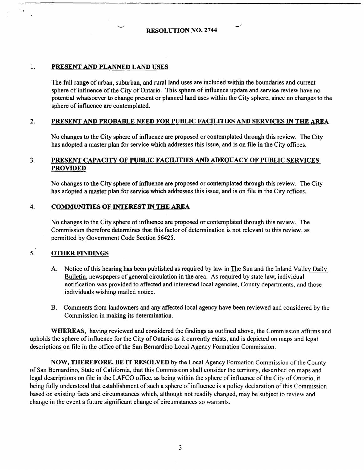#### 1. **PRESENT AND PLANNED LAND USES**

The full range of urban, suburban, and rural land uses are included within the boundaries and current sphere of influence of the City of Ontario. This sphere of influence update and service review have no potential whatsoever to change present or planned land uses within the City sphere, since no changes to the sphere of influence are contemplated.

## 2. **PRESENT AND PROBABLE NEED FOR PUBLIC FACILITIES AND SERVICES** IN **THE AREA**

No changes to the City sphere of influence are proposed or contemplated through this review. The City has adopted a master plan for service which addresses this issue, and is on file in the City offices.

## 3. **PRESENT CAPACITY OF PUBLIC FACILITIES AND ADEQUACY OF PUBLIC SERVICES PROVIDED**

No changes to the City sphere of influence are proposed or contemplated through this review. The City has adopted a master plan for service which addresses this issue, and is on file in the City offices.

#### 4. **COMMUNITIES OF INTEREST** IN **THE AREA**

No changes to the City sphere of influence are proposed or contemplated through this review. The Commission therefore determines that this factor of determination is not relevant to this review, as permitted by Government Code Section 56425.

# 5. **OTHER FINDINGS**

- A. Notice of this hearing has been published as required by law in The Sun and the Inland Valley Daily Bulletin, newspapers of general circulation in the area. As required by state law, individual notification was provided to affected and interested local agencies, County departments, and those individuals wishing mailed notice.
- B. Comments from landowners and any affected local agency have been reviewed and considered by the Commission in making its determination.

**WHEREAS,** having reviewed and considered the findings as outlined above, the Commission affirms and upholds the sphere of influence for the City of Ontario as it currently exists, and is depicted on maps and legal descriptions on file in the office of the San Bernardino Local Agency Formation Commission.

NOW, THEREFORE, BE IT RESOLVED by the Local Agency Formation Commission of the County of San Bernardino, State of California, that this Commission shall consider the territory, described on maps and legal descriptions on file in the LAFCO office, as being within the sphere of influence of the City of Ontario, it being fully understood that establishment of such a sphere of influence is a policy declaration of this Commission based on existing facts and circumstances which, although not readily changed, may be subject to review and change in the event a future significant change of circumstances so warrants.